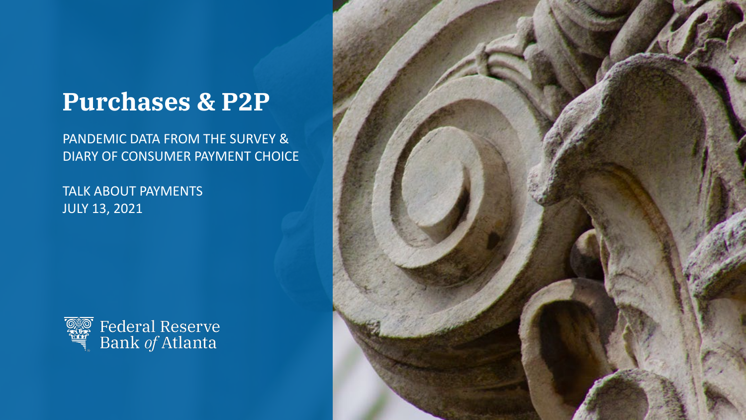## **Purchases & P2P**

PANDEMIC DATA FROM THE SURVEY & DIARY OF CONSUMER PAYMENT CHOICE

TALK ABOUT PAYMENTS JULY 13, 2021



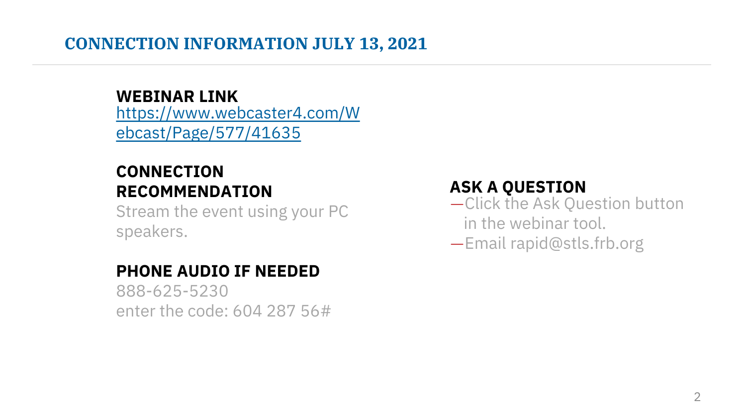#### **CONNECTION INFORMATION JULY 13, 2021**

[https://www.webcaster4.com/W](https://www.webcaster4.com/Webcast/Page/577/41635) ebcast/Page/577/41635 **WEBINAR LINK**

## **CONNECTION RECOMMENDATION**

Stream the event using your PC speakers.

### **PHONE AUDIO IF NEEDED**

888-625-5230 enter the code: 604 287 56#

#### **ASK A QUESTION**

- —Click the Ask Question button in the webinar tool.
- —Email rapid@stls.frb.org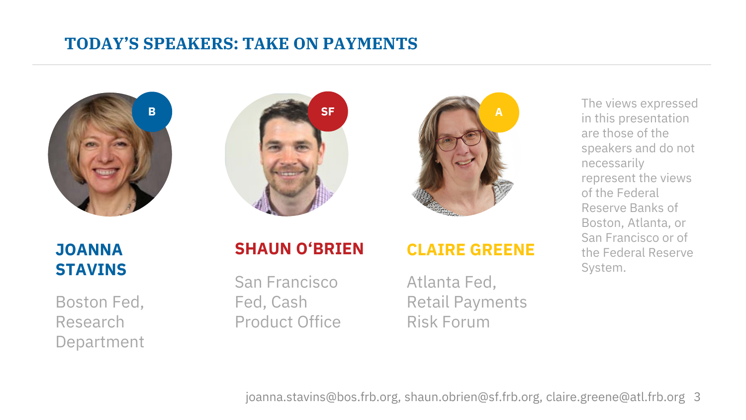#### **TODAY'S SPEAKERS: TAKE ON PAYMENTS**







#### **JOANNA STAVINS**

Boston Fed, Research Department

#### **SHAUN O'BRIEN**

San Francisco Fed, Cash Product Office

#### **CLAIRE GREENE**

Atlanta Fed, Retail Payments Risk Forum

in this presentation are those of the speakers and do not necessarily represent the views of the Federal Reserve Banks of Boston, Atlanta, or San Francisco or of the Federal Reserve System.

3 joanna.stavins@bos.frb.org, shaun.obrien@sf.frb.org, claire.greene@atl.frb.org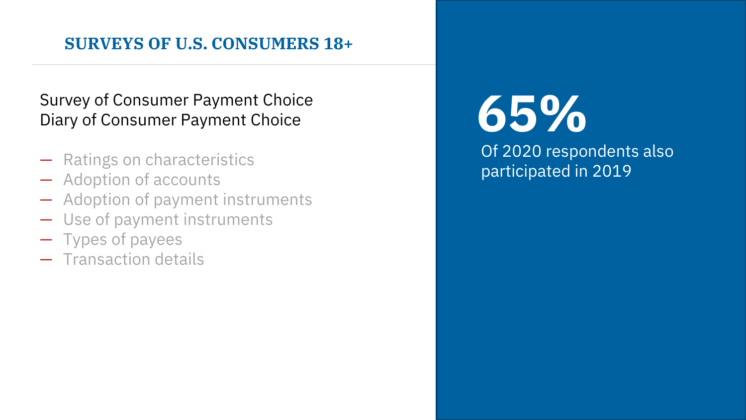#### **SURVEYS OF U.S. CONSUMERS 18+**

#### Survey of Consumer Payment Choice Diary of Consumer Payment Choice

- Ratings on characteristics
- Adoption of accounts
- Adoption of payment instruments
- Use of payment instruments
- Types of payees
- Transaction details

# **65%**

Of 2020 respondents also participated in 2019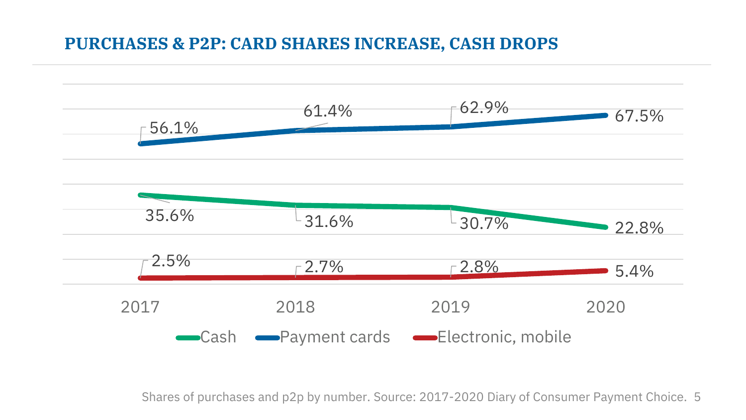#### **PURCHASES & P2P: CARD SHARES INCREASE, CASH DROPS**



Shares of purchases and p2p by number. Source: 2017-2020 Diary of Consumer Payment Choice. 5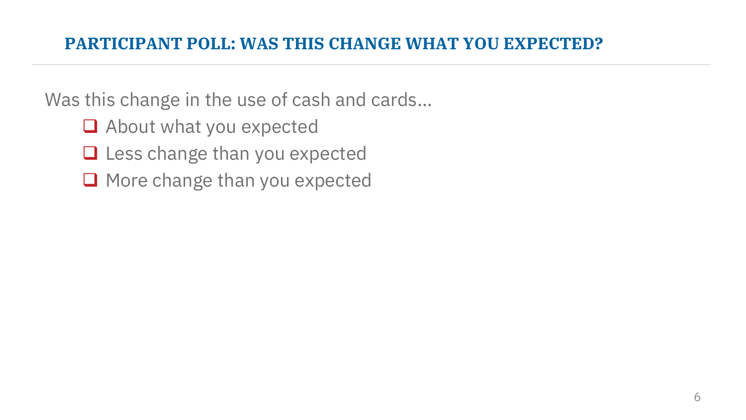#### **PARTICIPANT POLL: WAS THIS CHANGE WHAT YOU EXPECTED?**

Was this change in the use of cash and cards…

- About what you expected
- $\Box$  Less change than you expected
- $\Box$  More change than you expected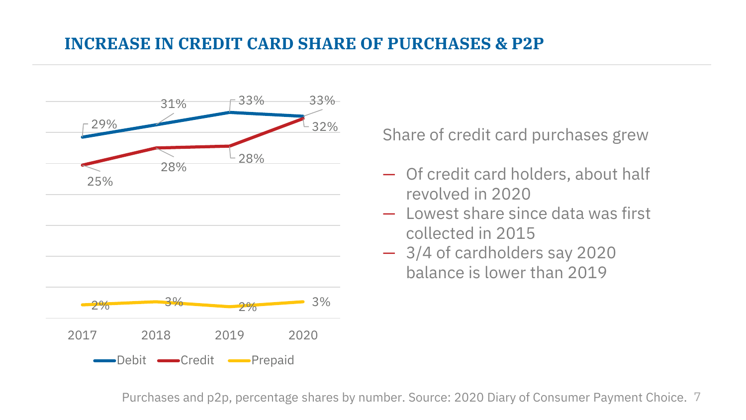#### **INCREASE IN CREDIT CARD SHARE OF PURCHASES & P2P**



Share of credit card purchases grew

- Of credit card holders, about half revolved in 2020
- Lowest share since data was first collected in 2015
- 3/4 of cardholders say 2020 balance is lower than 2019

Purchases and p2p, percentage shares by number. Source: 2020 Diary of Consumer Payment Choice. 7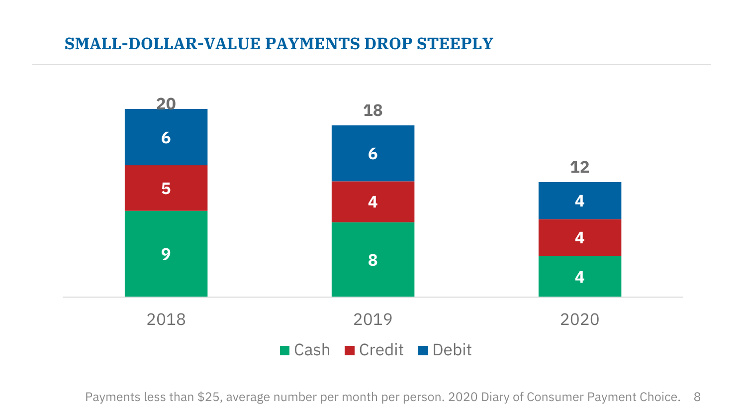#### **SMALL-DOLLAR-VALUE PAYMENTS DROP STEEPLY**



Payments less than \$25, average number per month per person. 2020 Diary of Consumer Payment Choice. 8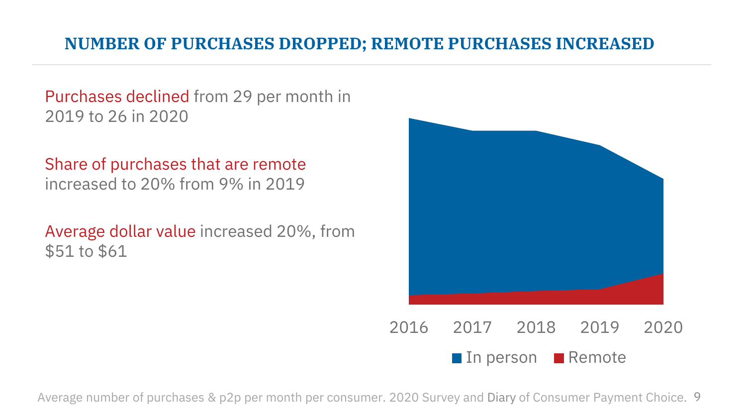#### **NUMBER OF PURCHASES DROPPED; REMOTE PURCHASES INCREASED**

Purchases declined from 29 per month in 2019 to 26 in 2020

Share of purchases that are remote increased to 20% from 9% in 2019

Average dollar value increased 20%, from \$51 to \$61



 $\blacksquare$  In person  $\blacksquare$  Remote

Average number of purchases & p2p per month per consumer. 2020 Survey and Diary of Consumer Payment Choice. 9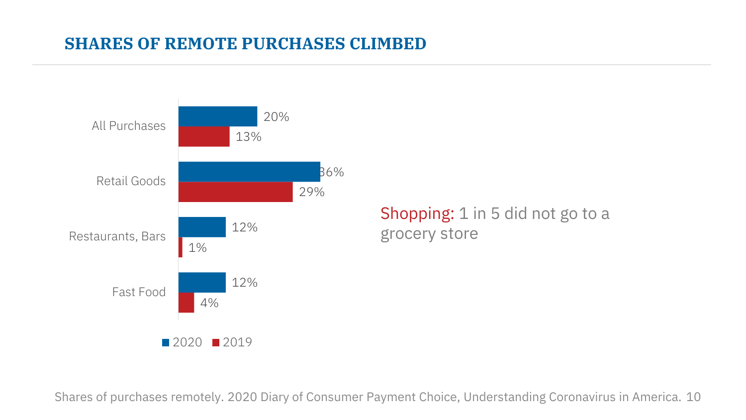#### **SHARES OF REMOTE PURCHASES CLIMBED**



**48**<br>**48**<br>**48**<br>**48**<br>**48** Shopping: 1 in 5 did not go to a grocery store

Shares of purchases remotely. 2020 Diary of Consumer Payment Choice, Understanding Coronavirus in America. 10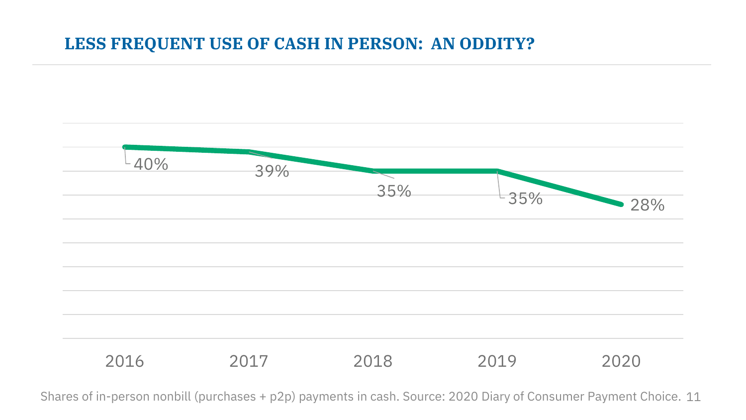#### **LESS FREQUENT USE OF CASH IN PERSON: AN ODDITY?**



Shares of in-person nonbill (purchases + p2p) payments in cash. Source: 2020 Diary of Consumer Payment Choice. 11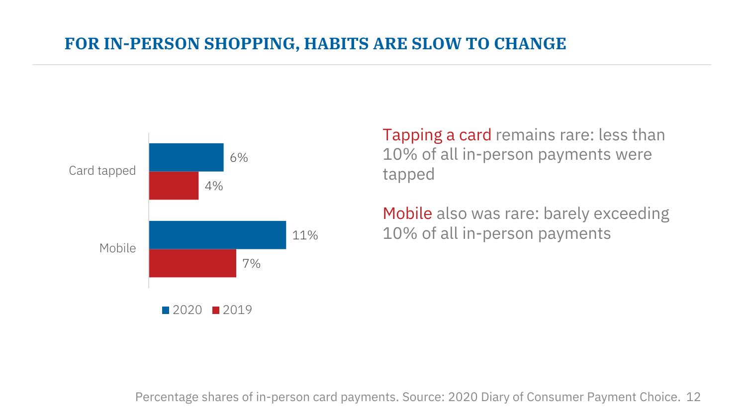#### **FOR IN-PERSON SHOPPING, HABITS ARE SLOW TO CHANGE**



Tapping a card remains rare: less than 10% of all in-person payments were tapped

Mobile also was rare: barely exceeding 10% of all in-person payments

Percentage shares of in-person card payments. Source: 2020 Diary of Consumer Payment Choice. 12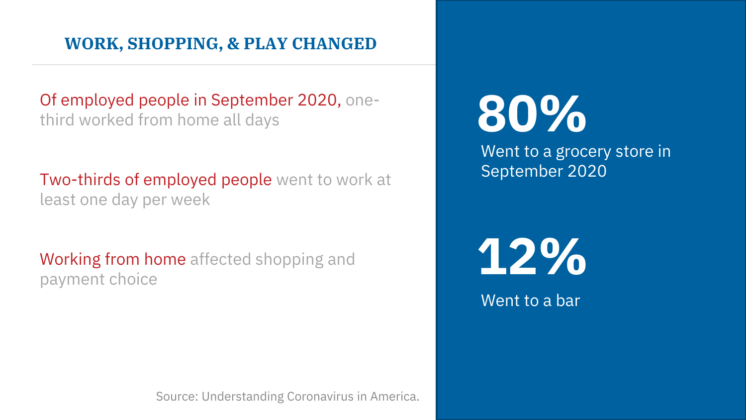#### **WORK, SHOPPING, & PLAY CHANGED**

Of employed people in September 2020, onethird worked from home all days

**Two-thirds of employed people** went to work at least one day per week

Working from home affected shopping and payment choice

Source: Understanding Coronavirus in America.

# **80%**

Went to a grocery store in September 2020

**12%**

Went to a bar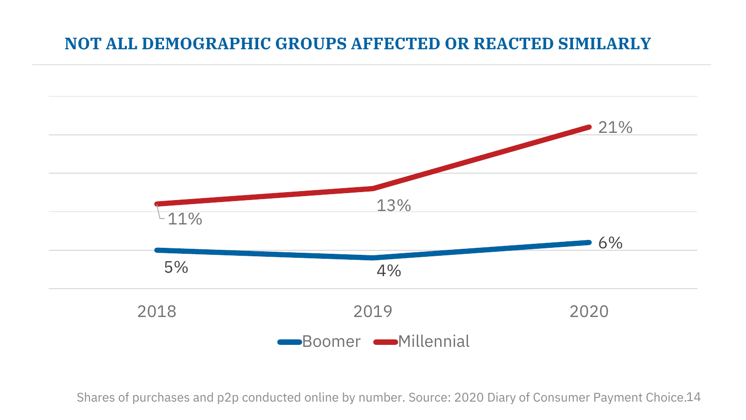#### **NOT ALL DEMOGRAPHIC GROUPS AFFECTED OR REACTED SIMILARLY**



Shares of purchases and p2p conducted online by number. Source: 2020 Diary of Consumer Payment Choice.14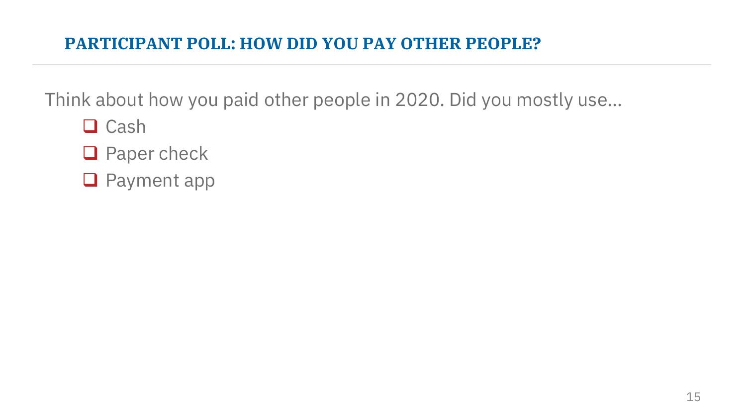### **PARTICIPANT POLL: HOW DID YOU PAY OTHER PEOPLE?**

Think about how you paid other people in 2020. Did you mostly use…

- $\Box$  Cash
- **Q** Paper check
- **Q** Payment app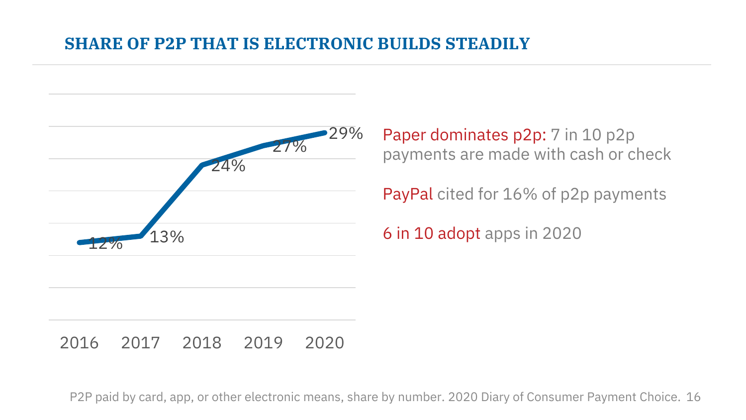#### **SHARE OF P2P THAT IS ELECTRONIC BUILDS STEADILY**



Paper dominates p2p: 7 in 10 p2p payments are made with cash or check

PayPal cited for 16% of p2p payments

6 in 10 adopt apps in 2020

#### 2016 2017 2018 2019 2020

P2P paid by card, app, or other electronic means, share by number. 2020 Diary of Consumer Payment Choice. 16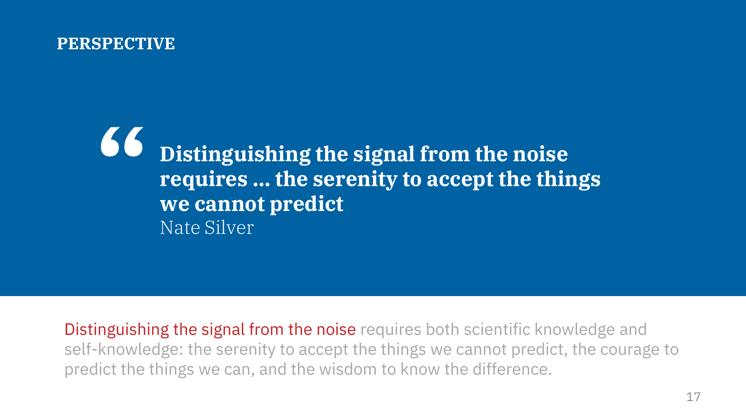#### $PERSPECTIVE$

**Distinguishing the signal from the noise requires … the serenity to accept the things we cannot predict** Nate Silver **"**

Distinguishing the signal from the noise requires both scientific knowledge and self-knowledge: the serenity to accept the things we cannot predict, the courage to predict the things we can, and the wisdom to know the difference.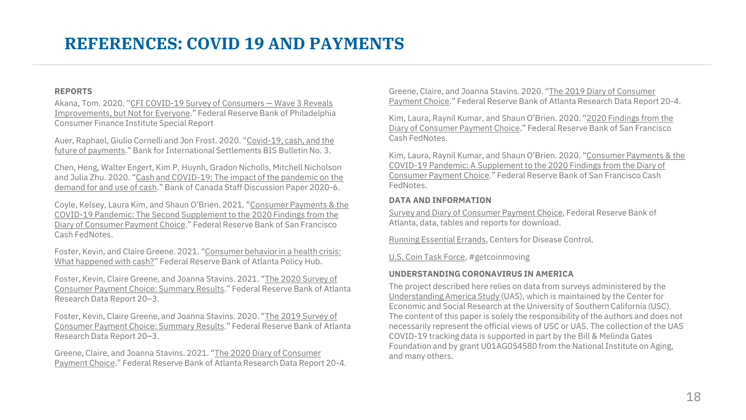#### **REFERENCES: COVID 19 AND PAYMENTS**

#### **REPORTS**

Akana, Tom. 2020. "CFI COVID-19 Survey of Consumers — Wave 3 Reveals [Improvements, but Not for Everyone." Federal Reserve Bank of Philadelphia](https://www.philadelphiafed.org/-/media/covid/cfi/cfi-covid-19-survey-of-consumers-wave3-updates.pdf?la=en) Consumer Finance Institute Special Report

Auer, Raphael, Giulio Cornelli and Jon Frost. 2020. "Covid-19, cash, and the [future of payments." Bank for International Settlements BIS Bulletin No. 3.](https://www.bis.org/publ/bisbull03.htm)

Chen, Heng, Walter Engert, Kim P. Huynh, Gradon Nicholls, Mitchell Nicholson and Julia Zhu. 2020. "Cash and COVID-19: The impact of the pandemic on the [demand for and use of cash." Bank of Canada Staff Discussion Paper 2020-6.](https://www.bankofcanada.ca/wp-content/uploads/2020/07/sdp2020-6.pdf) 

Coyle, Kelsey, Laura Kim, and Shaun O'Brien. 2021. "Consumer Payments & the [COVID-19 Pandemic: The Second Supplement to the 2020 Findings from the](https://www.frbsf.org/cash/publications/fed-notes/2021/february/consumer-payments-covid-19-pandemic-2020-diary-consumer-payment-choice-supplement-2/)  Diary of Consumer Payment Choice." Federal Reserve Bank of San Francisco Cash FedNotes.

Foster, Kevin, and Claire Greene. 2021. "Consumer behavior in a health crisis: [What happened with cash?" Federal Reserve Bank of Atlanta Policy Hub.](https://www.atlantafed.org/research/publications/policy-hub/2021/01/12/01-consumer-behavior-in-health-crisis-what-happened-with-cash.aspx)

Foster, Kevin, Claire Greene, and Joanna Stavins. 2021. "The 2020 Survey of [Consumer Payment Choice: Summary Results." Federal Reserve Bank of Atla](https://www.atlantafed.org/banking-and-payments/consumer-payments/survey-of-consumer-payment-choice/2020-survey.aspx?panel=3)nta Research Data Report 20–3.

Foster, Kevin, Claire Greene, and Joanna Stavins. 2020. "The 2019 Survey of [Consumer Payment Choice: Summary Results." Federal Reserve Bank of Atla](https://www.frbatlanta.org/banking-and-payments/consumer-payments/survey-of-consumer-payment-choice/2019-survey.aspx)nta Research Data Report 20–3.

Greene, Claire, and Joanna Stavins. 2021. "The 2020 Diary of Consumer [Payment Choice." Federal Reserve Bank of Atlanta Research Data Repor](https://www.atlantafed.org/banking-and-payments/consumer-payments/diary-of-consumer-payment-choice/2020-diary.aspx)t 20-4. Greene, Claire, and Joanna Stavins. 2020. "The 2019 Diary of Consumer [Payment Choice." Federal Reserve Bank of Atlanta Research Data Repor](https://www.frbatlanta.org/banking-and-payments/consumer-payments/diary-of-consumer-payment-choice/2019-diary.aspx)t 20-4.

Kim, Laura, Raynil Kumar, and Shaun O'Brien. 2020. "2020 Findings from the [Diary of Consumer Payment Choice." Federal Reserve Bank of San Francisco](https://www.frbsf.org/cash/publications/fed-notes/2020/july/2020-findings-from-the-diary-of-consumer-payment-choice/)  Cash FedNotes.

Kim, Laura, Raynil Kumar, and Shaun O'Brien. 2020. "Consumer Payments & the [COVID-19 Pandemic: A Supplement to the 2020 Findings from the Diary of](http://www.frbsf.org/cash/publications/fed-notes/2019/june/2019-findings-from-the-diary-of-consumer-payment-choice/)  Consumer Payment Choice." Federal Reserve Bank of San Francisco Cash FedNotes.

#### **DATA AND INFORMATION**

[Survey and Diary of Consumer Payment Choice](https://www.atlantafed.org/banking-and-payments/consumer-payments.aspx), Federal Reserve Bank of Atlanta, data, tables and reports for download.

[Running Essential Errands,](https://www.cdc.gov/coronavirus/2019-ncov/daily-life-coping/essential-goods-services.html) Centers for Disease Control.

[U.S. Coin Task Force,](https://www.frbservices.org/get-coin-moving/) #getcoinmoving

#### **UNDERSTANDING CORONAVIRUS IN AMERICA**

The project described here relies on data from surveys administered by the [Understanding America Study \(](https://covid19pulse.usc.edu/)UAS), which is maintained by the Center for Economic and Social Research at the University of Southern California (USC). The content of this paper is solely the responsibility of the authors and does not necessarily represent the official views of USC or UAS. The collection of the UAS COVID-19 tracking data is supported in part by the Bill & Melinda Gates Foundation and by grant U01AG054580 from the National Institute on Aging, and many others.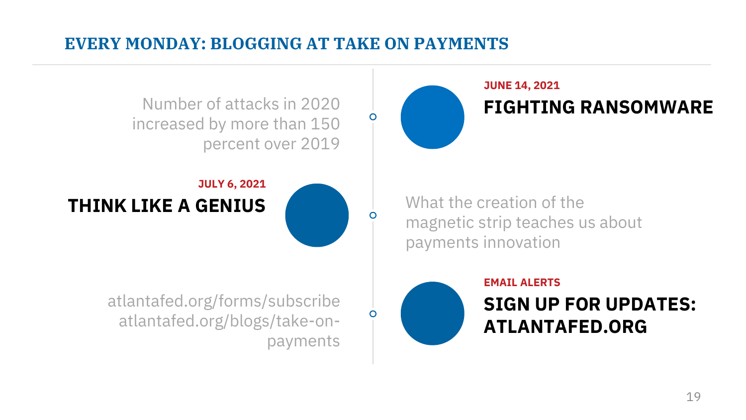#### **EVERY MONDAY: BLOGGING AT TAKE ON PAYMENTS**

payments

**JUNE 14, 2021** Number of attacks in 2020 **FIGHTING RANSOMWARE** increased by more than 150 percent over 2019 **JULY 6, 2021 THINK LIKE A GENIUS** magnetic strip teaches us about payments innovation **EMAIL ALERTS** atlantafed.org/forms/subscribe **SIGN UP FOR UPDATES:**  ∩ atlantafed.org/blogs/take-on-

**ATLANTAFED.ORG**